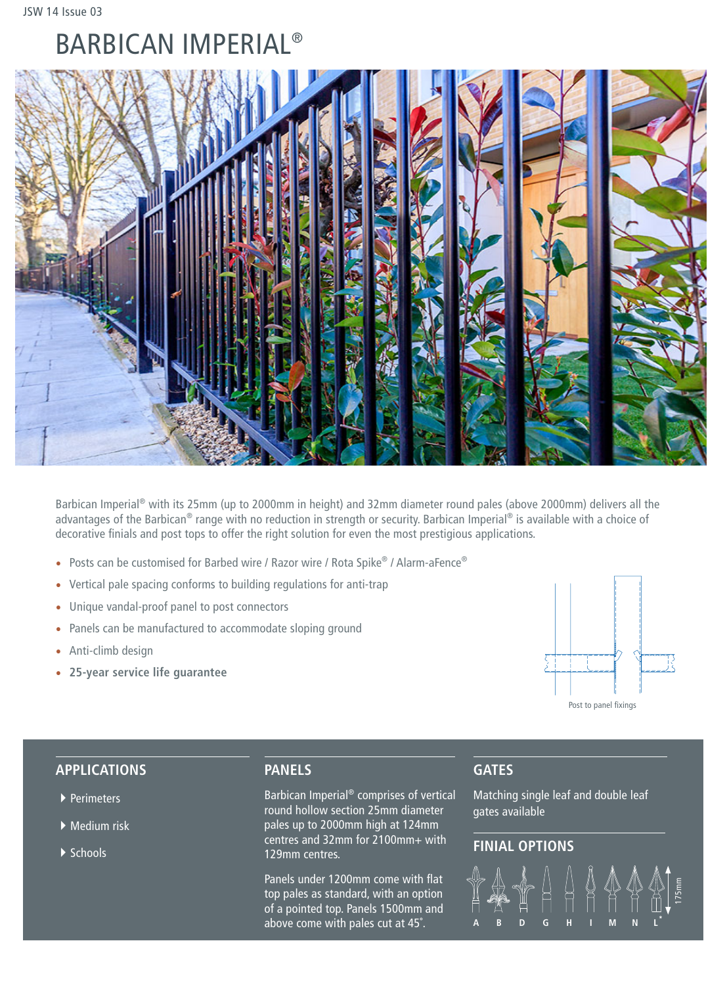# BARBICAN IMPERIAL®



Barbican Imperial® with its 25mm (up to 2000mm in height) and 32mm diameter round pales (above 2000mm) delivers all the advantages of the Barbican® range with no reduction in strength or security. Barbican Imperial® is available with a choice of decorative finials and post tops to offer the right solution for even the most prestigious applications.

- Posts can be customised for Barbed wire / Razor wire / Rota Spike® / Alarm-aFence®
- Vertical pale spacing conforms to building regulations for anti-trap
- Unique vandal-proof panel to post connectors
- Panels can be manufactured to accommodate sloping ground
- Anti-climb design
- **25-year service life guarantee**



## **APPLICATIONS**

- ▶ Perimeters
- $\blacktriangleright$  Medium risk
- ▶ Schools

## **PANELS**

Barbican Imperial® comprises of vertical round hollow section 25mm diameter pales up to 2000mm high at 124mm centres and 32mm for 2100mm+ with 129mm centres.

Panels under 1200mm come with flat top pales as standard, with an option of a pointed top. Panels 1500mm and above come with pales cut at 45˚.

# **GATES**

Matching single leaf and double leaf gates available

# **FINIAL OPTIONS**